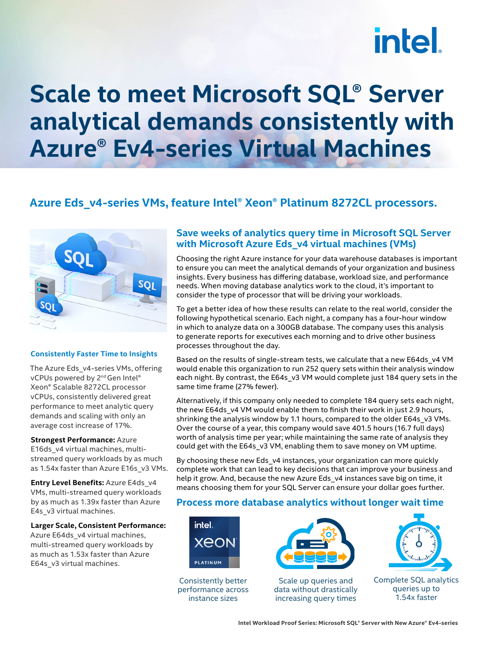# **intel**

## **Scale to meet Microsoft SQL® Server analytical demands consistently with Azure® Ev4-series Virtual Machines**

### **Azure Eds\_v4-series VMs, feature Intel® Xeon® Platinum 8272CL processors.**



#### **Consistently Faster Time to Insights**

The Azure Eds\_v4-series VMs, offering vCPUs powered by 2<sup>nd</sup> Gen Intel® Xeon® Scalable 8272CL processor vCPUs, consistently delivered great performance to meet analytic query demands and scaling with only an average cost increase of 17%.

**Strongest Performance:** Azure E16ds\_v4 virtual machines, multistreamed query workloads by as much as 1.54x faster than Azure E16s\_v3 VMs.

**Entry Level Benefits:** Azure E4ds\_v4 VMs, multi-streamed query workloads by as much as 1.39x faster than Azure E4s\_v3 virtual machines.

**Larger Scale, Consistent Performance:** Azure E64ds\_v4 virtual machines, multi-streamed query workloads by as much as 1.53x faster than Azure E64s v3 virtual machines.

#### **Save weeks of analytics query time in Microsoft SQL Server with Microsoft Azure Eds\_v4 virtual machines (VMs)**

Choosing the right Azure instance for your data warehouse databases is important to ensure you can meet the analytical demands of your organization and business insights. Every business has differing database, workload size, and performance needs. When moving database analytics work to the cloud, it's important to consider the type of processor that will be driving your workloads.

To get a better idea of how these results can relate to the real world, consider the following hypothetical scenario. Each night, a company has a four-hour window in which to analyze data on a 300GB database. The company uses this analysis to generate reports for executives each morning and to drive other business processes throughout the day.

Based on the results of single-stream tests, we calculate that a new E64ds\_v4 VM would enable this organization to run 252 query sets within their analysis window each night. By contrast, the E64s\_v3 VM would complete just 184 query sets in the same time frame (27% fewer).

Alternatively, if this company only needed to complete 184 query sets each night, the new E64ds\_v4 VM would enable them to finish their work in just 2.9 hours, shrinking the analysis window by 1.1 hours, compared to the older E64s v3 VMs. Over the course of a year, this company would save 401.5 hours (16.7 full days) worth of analysis time per year; while maintaining the same rate of analysis they could get with the E64s\_v3 VM, enabling them to save money on VM uptime.

By choosing these new Eds v4 instances, your organization can more quickly complete work that can lead to key decisions that can improve your business and help it grow. And, because the new Azure Eds v4 instances save big on time, it means choosing them for your SQL Server can ensure your dollar goes further.

#### **Process more database analytics without longer wait time**



Consistently better performance across instance sizes



Scale up queries and data without drastically increasing query times



Complete SQL analytics queries up to 1.54x faster